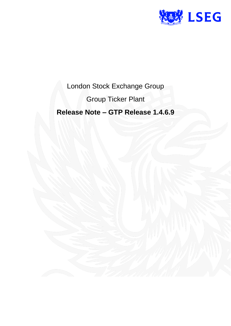

London Stock Exchange Group

Group Ticker Plant

**Release Note – GTP Release 1.4.6.9**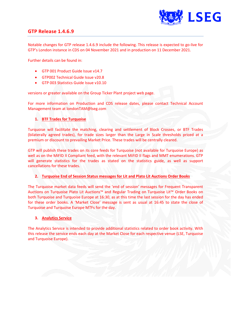

## **GTP Release 1.4.6.9**

Notable changes for GTP release 1.4.6.9 include the following. This release is expected to go-live for GTP's London instance in CDS on 04 November 2021 and in production on 11 December 2021.

Further details can be found in:

- GTP 001 Product Guide Issue v14.7
- GTP002 Technical Guide Issue v20.8
- GTP 003 Statistics Guide Issue v10.10

versions or greater available on the Group Ticker Plant project web page.

For more information on Production and CDS release dates, please contact Technical Account Management team a[t londonTAM@lseg.com](mailto:londonTAM@lseg.com)

### **1. BTF Trades for Turquoise**

Turquoise will facilitate the matching, clearing and settlement of Block Crosses, or BTF Trades (bilaterally agreed trades), for trade sizes larger than the Large in Scale thresholds priced at a premium or discount to prevailing Market Price. These trades will be centrally cleared.

GTP will publish these trades on its core feeds for Turquoise (not available for Turquoise Europe) as well as on the MiFID II Compliant feed, with the relevant MiFID II flags and MMT enumerations. GTP will generate statistics for the trades as stated on the statistics guide, as well as support cancellations for these trades.

#### **2. Turquoise End of Session Status messages for Lit and Plato Lit Auctions Order Books**

The Turquoise market data feeds will send the 'end of session' messages for Frequent Transparent Auctions on Turquoise Plato Lit Auctions™ and Regular Trading on Turquoise Lit™ Order Books on both Turquoise and Turquoise Europe at 16:30, as at this time the last session for the day has ended for these order books. A 'Market Close' message is sent as usual at 16:45 to state the close of Turquoise and Turquoise Europe MTFs for the day.

#### **3. Analytics Service**

The Analytics Service is intended to provide additional statistics related to order book activity. With this release the service ends each day at the Market Close for each respective venue (LSE, Turquoise and Turquoise Europe).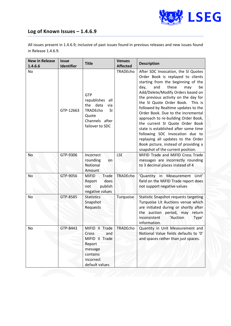

# **Log of Known Issues – 1.4.6.9**

All issues present in 1.4.6.9; inclusive of past issues found in previous releases and new issues found in Release 1.4.6.9.

| <b>New in Release</b><br>1.4.6.6 | <b>Issue</b><br>Identifier | <b>Title</b>                                                                                                           | <b>Venues</b><br><b>Affected</b> | <b>Description</b>                                                                                                                                                                                                                                                                                                                                                                                                                                                                                                                                                                                                           |
|----------------------------------|----------------------------|------------------------------------------------------------------------------------------------------------------------|----------------------------------|------------------------------------------------------------------------------------------------------------------------------------------------------------------------------------------------------------------------------------------------------------------------------------------------------------------------------------------------------------------------------------------------------------------------------------------------------------------------------------------------------------------------------------------------------------------------------------------------------------------------------|
| No                               | GTP-12663                  | GTP<br>republishes<br>all<br>data<br>the<br>via<br>TRADEcho<br><b>SI</b><br>Quote<br>Channels after<br>failover to SDC | TRADEcho                         | After SDC Invocation, the SI Quotes<br>Order Book is replayed to clients<br>starting from the beginning of the<br>these<br>day,<br>and<br>be<br>may<br>Add/Delete/Modify Orders based on<br>the previous activity on the day for<br>the SI Quote Order Book.<br>This is<br>followed by Realtime updates to the<br>Order Book. Due to the incremental<br>approach to re-building Order Book,<br>the current SI Quote Order Book<br>state is established after some time<br>following SDC Invocation due to<br>replaying all updates to the Order<br>Book picture, instead of providing a<br>snapshot of the current position. |
| No                               | GTP-9306                   | Incorrect<br>rounding<br>on<br>Notional<br>Amount                                                                      | <b>LSE</b>                       | MiFID Trade and MiFID Cross Trade<br>messages are incorrectly rounding<br>to 3 decimal places instead of 4                                                                                                                                                                                                                                                                                                                                                                                                                                                                                                                   |
| No                               | GTP-9056                   | Trade<br><b>MiFID</b><br>does<br>Report<br>publish<br>not<br>negative values                                           | TRADEcho                         | 'Quantity in Measurement Unit'<br>field on the MiFID Trade report does<br>not support negative values                                                                                                                                                                                                                                                                                                                                                                                                                                                                                                                        |
| No                               | GTP-8585                   | <b>Statistics</b><br>Snapshot<br>Requests                                                                              | Turquoise                        | Statistic Snapshot requests targeting<br>Turquoise Lit Auctions venue which<br>are initiated during or shortly after<br>the auction period, may<br>return<br>inconsistent<br>'Auction<br>Type'<br>information.                                                                                                                                                                                                                                                                                                                                                                                                               |
| No                               | GTP-8443                   | MiFID II Trade<br>and<br>Cross<br>MiFID II Trade<br>Report<br>message<br>contains<br>incorrect<br>default values       | TRADEcho                         | Quantity in Unit Measurement and<br>Notional Value fields defaults to '0'<br>and spaces rather than just spaces.                                                                                                                                                                                                                                                                                                                                                                                                                                                                                                             |